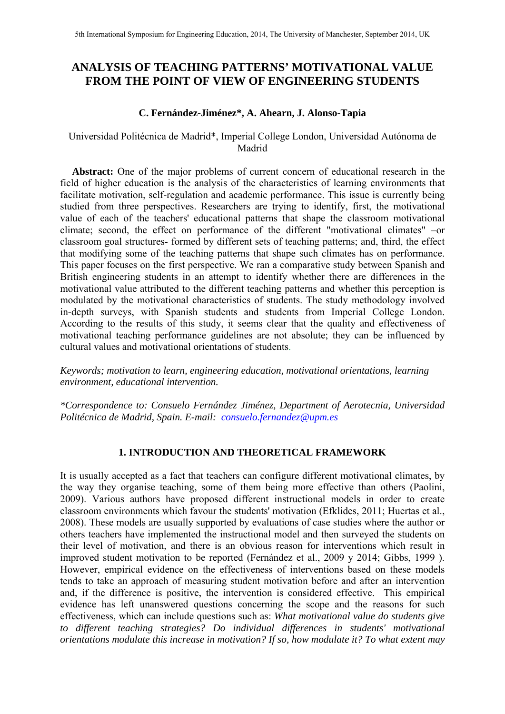# **ANALYSIS OF TEACHING PATTERNS' MOTIVATIONAL VALUE FROM THE POINT OF VIEW OF ENGINEERING STUDENTS**

#### **C. Fernández-Jiménez\*, A. Ahearn, J. Alonso-Tapia**

## Universidad Politécnica de Madrid\*, Imperial College London, Universidad Autónoma de Madrid

**Abstract:** One of the major problems of current concern of educational research in the field of higher education is the analysis of the characteristics of learning environments that facilitate motivation, self-regulation and academic performance. This issue is currently being studied from three perspectives. Researchers are trying to identify, first, the motivational value of each of the teachers' educational patterns that shape the classroom motivational climate; second, the effect on performance of the different "motivational climates" –or classroom goal structures- formed by different sets of teaching patterns; and, third, the effect that modifying some of the teaching patterns that shape such climates has on performance. This paper focuses on the first perspective. We ran a comparative study between Spanish and British engineering students in an attempt to identify whether there are differences in the motivational value attributed to the different teaching patterns and whether this perception is modulated by the motivational characteristics of students. The study methodology involved in-depth surveys, with Spanish students and students from Imperial College London. According to the results of this study, it seems clear that the quality and effectiveness of motivational teaching performance guidelines are not absolute; they can be influenced by cultural values and motivational orientations of students.

*Keywords; motivation to learn, engineering education, motivational orientations, learning environment, educational intervention.* 

*\*Correspondence to: Consuelo Fernández Jiménez, Department of Aerotecnia, Universidad Politécnica de Madrid, Spain. E-mail: consuelo.fernandez@upm.es*

# **1. INTRODUCTION AND THEORETICAL FRAMEWORK**

It is usually accepted as a fact that teachers can configure different motivational climates, by the way they organise teaching, some of them being more effective than others (Paolini, 2009). Various authors have proposed different instructional models in order to create classroom environments which favour the students' motivation (Efklides, 2011; Huertas et al., 2008). These models are usually supported by evaluations of case studies where the author or others teachers have implemented the instructional model and then surveyed the students on their level of motivation, and there is an obvious reason for interventions which result in improved student motivation to be reported (Fernández et al., 2009 y 2014; Gibbs, 1999 ). However, empirical evidence on the effectiveness of interventions based on these models tends to take an approach of measuring student motivation before and after an intervention and, if the difference is positive, the intervention is considered effective. This empirical evidence has left unanswered questions concerning the scope and the reasons for such effectiveness, which can include questions such as: *What motivational value do students give to different teaching strategies? Do individual differences in students' motivational orientations modulate this increase in motivation? If so, how modulate it? To what extent may*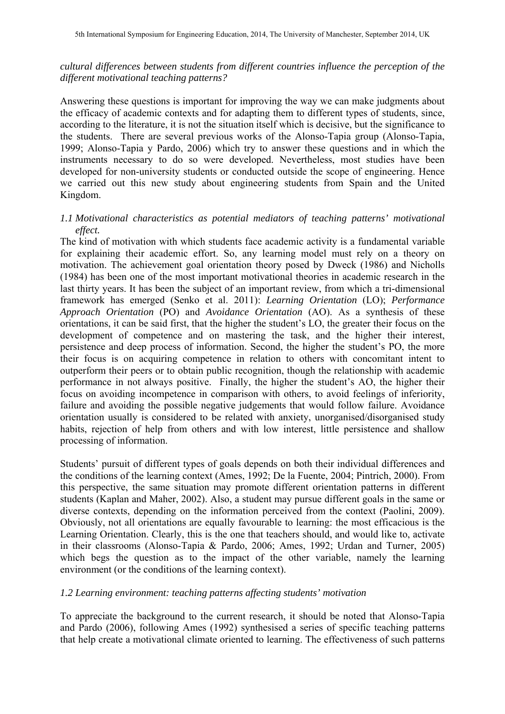# *cultural differences between students from different countries influence the perception of the different motivational teaching patterns?*

Answering these questions is important for improving the way we can make judgments about the efficacy of academic contexts and for adapting them to different types of students, since, according to the literature, it is not the situation itself which is decisive, but the significance to the students. There are several previous works of the Alonso-Tapia group (Alonso-Tapia, 1999; Alonso-Tapia y Pardo, 2006) which try to answer these questions and in which the instruments necessary to do so were developed. Nevertheless, most studies have been developed for non-university students or conducted outside the scope of engineering. Hence we carried out this new study about engineering students from Spain and the United Kingdom.

## *1.1 Motivational characteristics as potential mediators of teaching patterns' motivational effect.*

The kind of motivation with which students face academic activity is a fundamental variable for explaining their academic effort. So, any learning model must rely on a theory on motivation. The achievement goal orientation theory posed by Dweck (1986) and Nicholls (1984) has been one of the most important motivational theories in academic research in the last thirty years. It has been the subject of an important review, from which a tri-dimensional framework has emerged (Senko et al. 2011): *Learning Orientation* (LO); *Performance Approach Orientation* (PO) and *Avoidance Orientation* (AO). As a synthesis of these orientations, it can be said first, that the higher the student's LO, the greater their focus on the development of competence and on mastering the task, and the higher their interest, persistence and deep process of information. Second, the higher the student's PO, the more their focus is on acquiring competence in relation to others with concomitant intent to outperform their peers or to obtain public recognition, though the relationship with academic performance in not always positive. Finally, the higher the student's AO, the higher their focus on avoiding incompetence in comparison with others, to avoid feelings of inferiority, failure and avoiding the possible negative judgements that would follow failure. Avoidance orientation usually is considered to be related with anxiety, unorganised/disorganised study habits, rejection of help from others and with low interest, little persistence and shallow processing of information.

Students' pursuit of different types of goals depends on both their individual differences and the conditions of the learning context (Ames, 1992; De la Fuente, 2004; Pintrich, 2000). From this perspective, the same situation may promote different orientation patterns in different students (Kaplan and Maher, 2002). Also, a student may pursue different goals in the same or diverse contexts, depending on the information perceived from the context (Paolini, 2009). Obviously, not all orientations are equally favourable to learning: the most efficacious is the Learning Orientation. Clearly, this is the one that teachers should, and would like to, activate in their classrooms (Alonso-Tapia & Pardo, 2006; Ames, 1992; Urdan and Turner, 2005) which begs the question as to the impact of the other variable, namely the learning environment (or the conditions of the learning context).

### *1.2 Learning environment: teaching patterns affecting students' motivation*

To appreciate the background to the current research, it should be noted that Alonso-Tapia and Pardo (2006), following Ames (1992) synthesised a series of specific teaching patterns that help create a motivational climate oriented to learning. The effectiveness of such patterns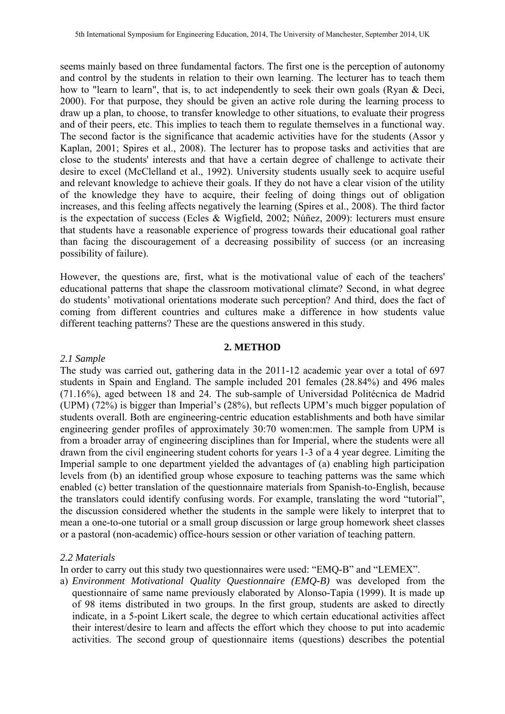seems mainly based on three fundamental factors. The first one is the perception of autonomy and control by the students in relation to their own learning. The lecturer has to teach them how to "learn to learn", that is, to act independently to seek their own goals (Ryan & Deci, 2000). For that purpose, they should be given an active role during the learning process to draw up a plan, to choose, to transfer knowledge to other situations, to evaluate their progress and of their peers, etc. This implies to teach them to regulate themselves in a functional way. The second factor is the significance that academic activities have for the students (Assor y Kaplan, 2001; Spires et al., 2008). The lecturer has to propose tasks and activities that are close to the students' interests and that have a certain degree of challenge to activate their desire to excel (McClelland et al., 1992). University students usually seek to acquire useful and relevant knowledge to achieve their goals. If they do not have a clear vision of the utility of the knowledge they have to acquire, their feeling of doing things out of obligation increases, and this feeling affects negatively the learning (Spires et al., 2008). The third factor is the expectation of success (Ecles & Wigfield, 2002; Núñez, 2009): lecturers must ensure that students have a reasonable experience of progress towards their educational goal rather than facing the discouragement of a decreasing possibility of success (or an increasing possibility of failure).

However, the questions are, first, what is the motivational value of each of the teachers' educational patterns that shape the classroom motivational climate? Second, in what degree do students' motivational orientations moderate such perception? And third, does the fact of coming from different countries and cultures make a difference in how students value different teaching patterns? These are the questions answered in this study.

### **2. METHOD**

#### *2.1 Sample*

The study was carried out, gathering data in the 2011-12 academic year over a total of 697 students in Spain and England. The sample included 201 females (28.84%) and 496 males (71.16%), aged between 18 and 24. The sub-sample of Universidad Politécnica de Madrid (UPM) (72%) is bigger than Imperial's (28%), but reflects UPM's much bigger population of students overall. Both are engineering-centric education establishments and both have similar engineering gender profiles of approximately 30:70 women:men. The sample from UPM is from a broader array of engineering disciplines than for Imperial, where the students were all drawn from the civil engineering student cohorts for years 1-3 of a 4 year degree. Limiting the Imperial sample to one department yielded the advantages of (a) enabling high participation levels from (b) an identified group whose exposure to teaching patterns was the same which enabled (c) better translation of the questionnaire materials from Spanish-to-English, because the translators could identify confusing words. For example, translating the word "tutorial", the discussion considered whether the students in the sample were likely to interpret that to mean a one-to-one tutorial or a small group discussion or large group homework sheet classes or a pastoral (non-academic) office-hours session or other variation of teaching pattern.

### *2.2 Materials*

In order to carry out this study two questionnaires were used: "EMQ-B" and "LEMEX".

a) *Environment Motivational Quality Questionnaire (EMQ-B)* was developed from the questionnaire of same name previously elaborated by Alonso-Tapia (1999). It is made up of 98 items distributed in two groups. In the first group, students are asked to directly indicate, in a 5-point Likert scale, the degree to which certain educational activities affect their interest/desire to learn and affects the effort which they choose to put into academic activities. The second group of questionnaire items (questions) describes the potential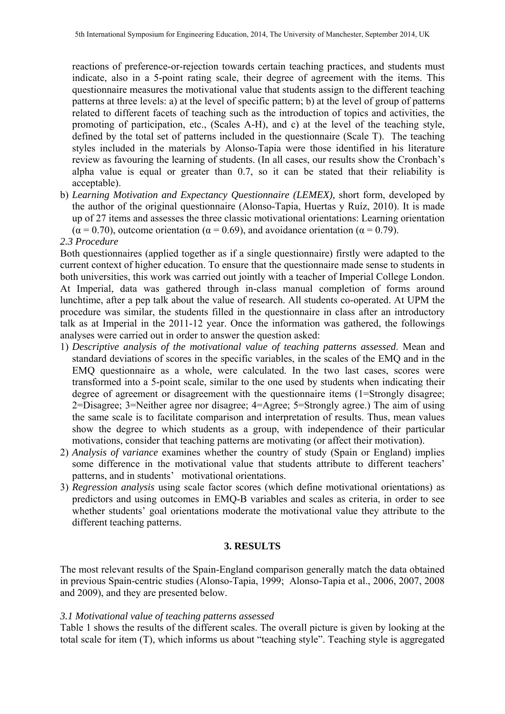reactions of preference-or-rejection towards certain teaching practices, and students must indicate, also in a 5-point rating scale, their degree of agreement with the items. This questionnaire measures the motivational value that students assign to the different teaching patterns at three levels: a) at the level of specific pattern; b) at the level of group of patterns related to different facets of teaching such as the introduction of topics and activities, the promoting of participation, etc., (Scales A-H), and c) at the level of the teaching style, defined by the total set of patterns included in the questionnaire (Scale T). The teaching styles included in the materials by Alonso-Tapia were those identified in his literature review as favouring the learning of students. (In all cases, our results show the Cronbach's alpha value is equal or greater than 0.7, so it can be stated that their reliability is acceptable).

b) *Learning Motivation and Expectancy Questionnaire (LEMEX),* short form, developed by the author of the original questionnaire (Alonso-Tapia, Huertas y Ruíz, 2010). It is made up of 27 items and assesses the three classic motivational orientations: Learning orientation ( $\alpha$  = 0.70), outcome orientation ( $\alpha$  = 0.69), and avoidance orientation ( $\alpha$  = 0.79).

*2.3 Procedure* 

Both questionnaires (applied together as if a single questionnaire) firstly were adapted to the current context of higher education. To ensure that the questionnaire made sense to students in both universities, this work was carried out jointly with a teacher of Imperial College London. At Imperial, data was gathered through in-class manual completion of forms around lunchtime, after a pep talk about the value of research. All students co-operated. At UPM the procedure was similar, the students filled in the questionnaire in class after an introductory talk as at Imperial in the 2011-12 year. Once the information was gathered, the followings analyses were carried out in order to answer the question asked:

- 1) *Descriptive analysis of the motivational value of teaching patterns assessed*. Mean and standard deviations of scores in the specific variables, in the scales of the EMQ and in the EMQ questionnaire as a whole, were calculated. In the two last cases, scores were transformed into a 5-point scale, similar to the one used by students when indicating their degree of agreement or disagreement with the questionnaire items (1=Strongly disagree; 2=Disagree; 3=Neither agree nor disagree; 4=Agree; 5=Strongly agree.) The aim of using the same scale is to facilitate comparison and interpretation of results. Thus, mean values show the degree to which students as a group, with independence of their particular motivations, consider that teaching patterns are motivating (or affect their motivation).
- 2) *Analysis of variance* examines whether the country of study (Spain or England) implies some difference in the motivational value that students attribute to different teachers' patterns, and in students' motivational orientations.
- 3) *Regression analysis* using scale factor scores (which define motivational orientations) as predictors and using outcomes in EMQ-B variables and scales as criteria, in order to see whether students' goal orientations moderate the motivational value they attribute to the different teaching patterns.

### **3. RESULTS**

The most relevant results of the Spain-England comparison generally match the data obtained in previous Spain-centric studies (Alonso-Tapia, 1999; Alonso-Tapia et al., 2006, 2007, 2008 and 2009), and they are presented below.

### *3.1 Motivational value of teaching patterns assessed*

Table 1 shows the results of the different scales. The overall picture is given by looking at the total scale for item (T), which informs us about "teaching style". Teaching style is aggregated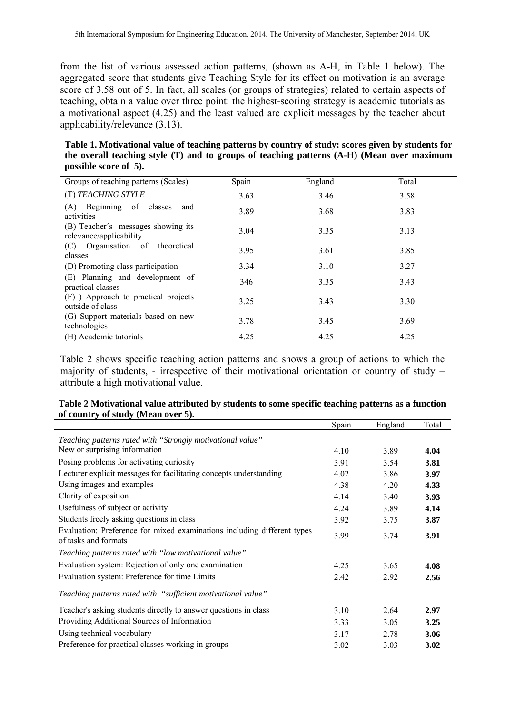from the list of various assessed action patterns, (shown as A-H, in Table 1 below). The aggregated score that students give Teaching Style for its effect on motivation is an average score of 3.58 out of 5. In fact, all scales (or groups of strategies) related to certain aspects of teaching, obtain a value over three point: the highest-scoring strategy is academic tutorials as a motivational aspect (4.25) and the least valued are explicit messages by the teacher about applicability/relevance (3.13).

**Table 1. Motivational value of teaching patterns by country of study: scores given by students for the overall teaching style (T) and to groups of teaching patterns (A-H) (Mean over maximum possible score of 5).** 

| Groups of teaching patterns (Scales)                          | Spain | England | Total |
|---------------------------------------------------------------|-------|---------|-------|
| (T) TEACHING STYLE                                            | 3.63  | 3.46    | 3.58  |
| (A) Beginning of classes<br>and<br>activities                 | 3.89  | 3.68    | 3.83  |
| (B) Teacher's messages showing its<br>relevance/applicability | 3.04  | 3.35    | 3.13  |
| (C) Organisation of theoretical<br>classes                    | 3.95  | 3.61    | 3.85  |
| (D) Promoting class participation                             | 3.34  | 3.10    | 3.27  |
| (E) Planning and development of<br>practical classes          | 346   | 3.35    | 3.43  |
| (F) Approach to practical projects<br>outside of class        | 3.25  | 3.43    | 3.30  |
| (G) Support materials based on new<br>technologies            | 3.78  | 3.45    | 3.69  |
| (H) Academic tutorials                                        | 4.25  | 4.25    | 4.25  |

Table 2 shows specific teaching action patterns and shows a group of actions to which the majority of students, - irrespective of their motivational orientation or country of study – attribute a high motivational value.

| Table 2 Motivational value attributed by students to some specific teaching patterns as a function |
|----------------------------------------------------------------------------------------------------|
| of country of study (Mean over 5).                                                                 |

|                                                                                                 | Spain | England | Total |
|-------------------------------------------------------------------------------------------------|-------|---------|-------|
| Teaching patterns rated with "Strongly motivational value"                                      |       |         |       |
| New or surprising information                                                                   | 4.10  | 3.89    | 4.04  |
| Posing problems for activating curiosity                                                        | 3.91  | 3.54    | 3.81  |
| Lecturer explicit messages for facilitating concepts understanding                              | 4.02  | 3.86    | 3.97  |
| Using images and examples                                                                       | 4.38  | 4.20    | 4.33  |
| Clarity of exposition                                                                           | 4.14  | 3.40    | 3.93  |
| Usefulness of subject or activity                                                               | 4.24  | 3.89    | 4.14  |
| Students freely asking questions in class                                                       | 3.92  | 3.75    | 3.87  |
| Evaluation: Preference for mixed examinations including different types<br>of tasks and formats | 3.99  | 3.74    | 3.91  |
| Teaching patterns rated with "low motivational value"                                           |       |         |       |
| Evaluation system: Rejection of only one examination                                            | 4.25  | 3.65    | 4.08  |
| Evaluation system: Preference for time Limits                                                   | 2.42  | 2.92    | 2.56  |
| Teaching patterns rated with "sufficient motivational value"                                    |       |         |       |
| Teacher's asking students directly to answer questions in class                                 | 3.10  | 2.64    | 2.97  |
| Providing Additional Sources of Information                                                     | 3.33  | 3.05    | 3.25  |
| Using technical vocabulary                                                                      | 3.17  | 2.78    | 3.06  |
| Preference for practical classes working in groups                                              | 3.02  | 3.03    | 3.02  |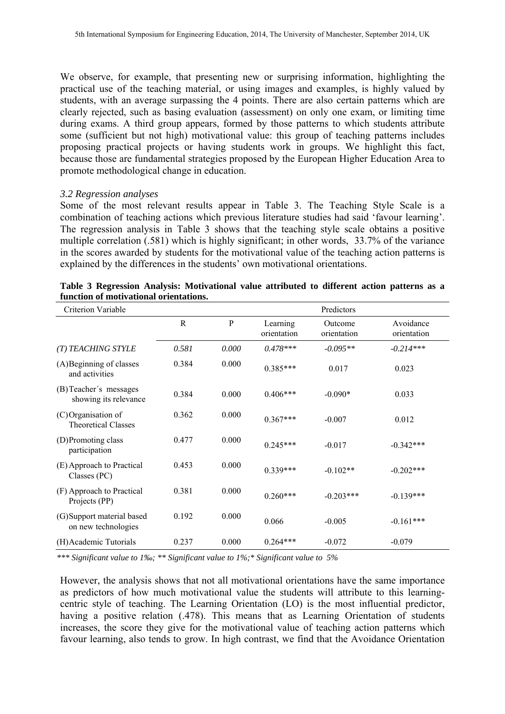We observe, for example, that presenting new or surprising information, highlighting the practical use of the teaching material, or using images and examples, is highly valued by students, with an average surpassing the 4 points. There are also certain patterns which are clearly rejected, such as basing evaluation (assessment) on only one exam, or limiting time during exams. A third group appears, formed by those patterns to which students attribute some (sufficient but not high) motivational value: this group of teaching patterns includes proposing practical projects or having students work in groups. We highlight this fact, because those are fundamental strategies proposed by the European Higher Education Area to promote methodological change in education.

#### *3.2 Regression analyses*

Some of the most relevant results appear in Table 3. The Teaching Style Scale is a combination of teaching actions which previous literature studies had said 'favour learning'. The regression analysis in Table 3 shows that the teaching style scale obtains a positive multiple correlation (.581) which is highly significant; in other words, 33.7% of the variance in the scores awarded by students for the motivational value of the teaching action patterns is explained by the differences in the students' own motivational orientations.

| Criterion Variable                                |       |           |                         | Predictors             |                          |
|---------------------------------------------------|-------|-----------|-------------------------|------------------------|--------------------------|
|                                                   | R     | ${\bf P}$ | Learning<br>orientation | Outcome<br>orientation | Avoidance<br>orientation |
| (T) TEACHING STYLE                                | 0.581 | 0.000     | $0.478***$              | $-0.095**$             | $-0.214***$              |
| (A) Beginning of classes<br>and activities        | 0.384 | 0.000     | $0.385***$              | 0.017                  | 0.023                    |
| (B) Teacher's messages<br>showing its relevance   | 0.384 | 0.000     | $0.406***$              | $-0.090*$              | 0.033                    |
| (C) Organisation of<br><b>Theoretical Classes</b> | 0.362 | 0.000     | $0.367***$              | $-0.007$               | 0.012                    |
| (D)Promoting class<br>participation               | 0.477 | 0.000     | $0.245***$              | $-0.017$               | $-0.342***$              |
| (E) Approach to Practical<br>Classes $(PC)$       | 0.453 | 0.000     | $0.339***$              | $-0.102**$             | $-0.202***$              |
| (F) Approach to Practical<br>Projects (PP)        | 0.381 | 0.000     | $0.260***$              | $-0.203***$            | $-0.139***$              |
| (G)Support material based<br>on new technologies  | 0.192 | 0.000     | 0.066                   | $-0.005$               | $-0.161***$              |
| (H)Academic Tutorials                             | 0.237 | 0.000     | $0.264***$              | $-0.072$               | $-0.079$                 |

|                                        | Table 3 Regression Analysis: Motivational value attributed to different action patterns as a |  |  |  |  |
|----------------------------------------|----------------------------------------------------------------------------------------------|--|--|--|--|
| function of motivational orientations. |                                                                                              |  |  |  |  |

*\*\*\* Significant value to 1‰; \*\* Significant value to 1%;\* Significant value to 5%*

However, the analysis shows that not all motivational orientations have the same importance as predictors of how much motivational value the students will attribute to this learningcentric style of teaching. The Learning Orientation (LO) is the most influential predictor, having a positive relation (.478). This means that as Learning Orientation of students increases, the score they give for the motivational value of teaching action patterns which favour learning, also tends to grow. In high contrast, we find that the Avoidance Orientation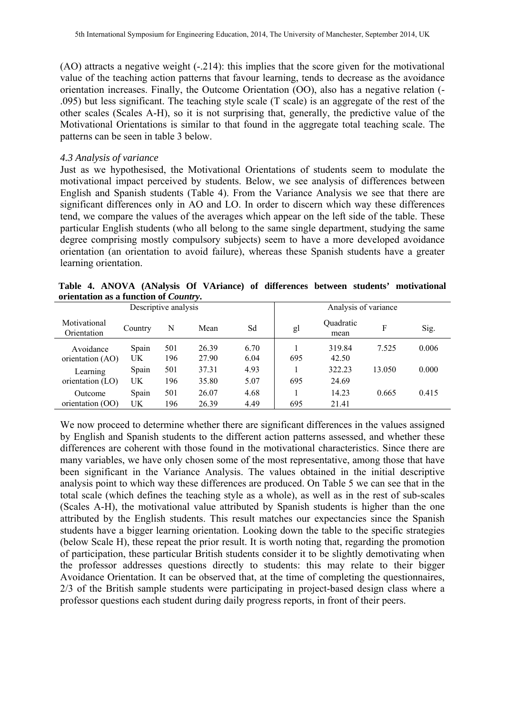(AO) attracts a negative weight (-.214): this implies that the score given for the motivational value of the teaching action patterns that favour learning, tends to decrease as the avoidance orientation increases. Finally, the Outcome Orientation (OO), also has a negative relation (- .095) but less significant. The teaching style scale (T scale) is an aggregate of the rest of the other scales (Scales A-H), so it is not surprising that, generally, the predictive value of the Motivational Orientations is similar to that found in the aggregate total teaching scale. The patterns can be seen in table 3 below.

#### *4.3 Analysis of variance*

Just as we hypothesised, the Motivational Orientations of students seem to modulate the motivational impact perceived by students. Below, we see analysis of differences between English and Spanish students (Table 4). From the Variance Analysis we see that there are significant differences only in AO and LO. In order to discern which way these differences tend, we compare the values of the averages which appear on the left side of the table. These particular English students (who all belong to the same single department, studying the same degree comprising mostly compulsory subjects) seem to have a more developed avoidance orientation (an orientation to avoid failure), whereas these Spanish students have a greater learning orientation.

**Table 4. ANOVA (ANalysis Of VAriance) of differences between students' motivational orientation as a function of** *Country***.** 

| Descriptive analysis          |             |            |                |              | Analysis of variance |                   |        |       |  |
|-------------------------------|-------------|------------|----------------|--------------|----------------------|-------------------|--------|-------|--|
| Motivational<br>Orientation   | Country     | N          | Mean           | Sd           | gl                   | Quadratic<br>mean | F      | Sig.  |  |
| Avoidance<br>orientation (AO) | Spain<br>UK | 501<br>196 | 26.39<br>27.90 | 6.70<br>6.04 | 695                  | 319.84<br>42.50   | 7.525  | 0.006 |  |
| Learning                      | Spain       | 501        | 37.31          | 4.93         |                      | 322.23            | 13.050 | 0.000 |  |
| orientation $(LO)$            | UK          | 196        | 35.80          | 5.07         | 695                  | 24.69             |        |       |  |
| Outcome                       | Spain       | 501        | 26.07          | 4.68         |                      | 14.23             | 0.665  | 0.415 |  |
| orientation (OO)              | UK          | 196        | 26.39          | 4.49         | 695                  | 21.41             |        |       |  |

We now proceed to determine whether there are significant differences in the values assigned by English and Spanish students to the different action patterns assessed, and whether these differences are coherent with those found in the motivational characteristics. Since there are many variables, we have only chosen some of the most representative, among those that have been significant in the Variance Analysis. The values obtained in the initial descriptive analysis point to which way these differences are produced. On Table 5 we can see that in the total scale (which defines the teaching style as a whole), as well as in the rest of sub-scales (Scales A-H), the motivational value attributed by Spanish students is higher than the one attributed by the English students. This result matches our expectancies since the Spanish students have a bigger learning orientation. Looking down the table to the specific strategies (below Scale H), these repeat the prior result. It is worth noting that, regarding the promotion of participation, these particular British students consider it to be slightly demotivating when the professor addresses questions directly to students: this may relate to their bigger Avoidance Orientation. It can be observed that, at the time of completing the questionnaires, 2/3 of the British sample students were participating in project-based design class where a professor questions each student during daily progress reports, in front of their peers.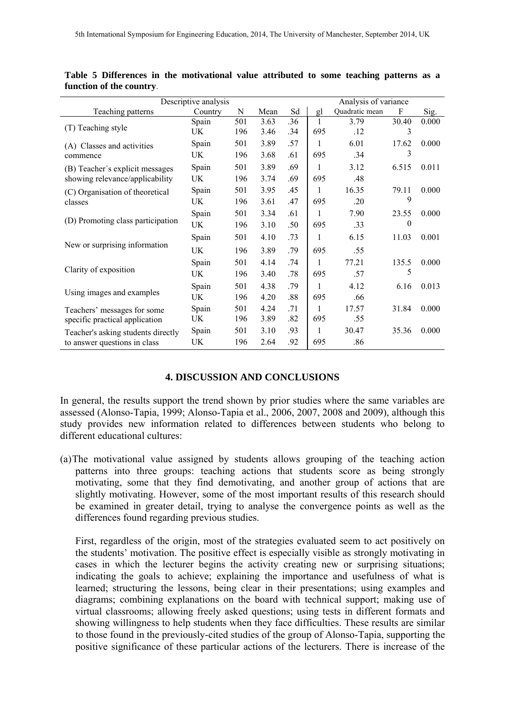| Descriptive analysis               |         | Analysis of variance |      |     |     |                |       |       |
|------------------------------------|---------|----------------------|------|-----|-----|----------------|-------|-------|
| Teaching patterns                  | Country | N                    | Mean | Sd  | gl  | Quadratic mean | F     | Sig.  |
|                                    | Spain   | 501                  | 3.63 | .36 | 1   | 3.79           | 30.40 | 0.000 |
| (T) Teaching style                 | UK      | 196                  | 3.46 | .34 | 695 | .12            | 3     |       |
| (A) Classes and activities         | Spain   | 501                  | 3.89 | .57 | 1   | 6.01           | 17.62 | 0.000 |
| commence                           | UK.     | 196                  | 3.68 | .61 | 695 | .34            | 3     |       |
| (B) Teacher's explicit messages    | Spain   | 501                  | 3.89 | .69 | 1   | 3.12           | 6.515 | 0.011 |
| showing relevance/applicability    | UK      | 196                  | 3.74 | .69 | 695 | .48            |       |       |
| (C) Organisation of theoretical    | Spain   | 501                  | 3.95 | .45 | 1   | 16.35          | 79.11 | 0.000 |
| classes                            | UK      | 196                  | 3.61 | .47 | 695 | .20            | 9     |       |
|                                    | Spain   | 501                  | 3.34 | .61 | 1   | 7.90           | 23.55 | 0.000 |
| (D) Promoting class participation  | UK      | 196                  | 3.10 | .50 | 695 | .33            | 0     |       |
|                                    | Spain   | 501                  | 4.10 | .73 | 1   | 6.15           | 11.03 | 0.001 |
| New or surprising information      | UK      | 196                  | 3.89 | .79 | 695 | .55            |       |       |
|                                    | Spain   | 501                  | 4.14 | .74 | 1   | 77.21          | 135.5 | 0.000 |
| Clarity of exposition              | UK      | 196                  | 3.40 | .78 | 695 | .57            | 5     |       |
|                                    | Spain   | 501                  | 4.38 | .79 | 1   | 4.12           | 6.16  | 0.013 |
| Using images and examples          | UK      | 196                  | 4.20 | .88 | 695 | .66            |       |       |
| Teachers' messages for some        | Spain   | 501                  | 4.24 | .71 | 1   | 17.57          | 31.84 | 0.000 |
| specific practical application     | UK      | 196                  | 3.89 | .82 | 695 | .55            |       |       |
| Teacher's asking students directly | Spain   | 501                  | 3.10 | .93 | 1   | 30.47          | 35.36 | 0.000 |
| to answer questions in class       | UK      | 196                  | 2.64 | .92 | 695 | .86            |       |       |

**Table 5 Differences in the motivational value attributed to some teaching patterns as a function of the country**.

### **4. DISCUSSION AND CONCLUSIONS**

In general, the results support the trend shown by prior studies where the same variables are assessed (Alonso-Tapia, 1999; Alonso-Tapia et al., 2006, 2007, 2008 and 2009), although this study provides new information related to differences between students who belong to different educational cultures:

(a)The motivational value assigned by students allows grouping of the teaching action patterns into three groups: teaching actions that students score as being strongly motivating, some that they find demotivating, and another group of actions that are slightly motivating. However, some of the most important results of this research should be examined in greater detail, trying to analyse the convergence points as well as the differences found regarding previous studies.

First, regardless of the origin, most of the strategies evaluated seem to act positively on the students' motivation. The positive effect is especially visible as strongly motivating in cases in which the lecturer begins the activity creating new or surprising situations; indicating the goals to achieve; explaining the importance and usefulness of what is learned; structuring the lessons, being clear in their presentations; using examples and diagrams; combining explanations on the board with technical support; making use of virtual classrooms; allowing freely asked questions; using tests in different formats and showing willingness to help students when they face difficulties. These results are similar to those found in the previously-cited studies of the group of Alonso-Tapia, supporting the positive significance of these particular actions of the lecturers. There is increase of the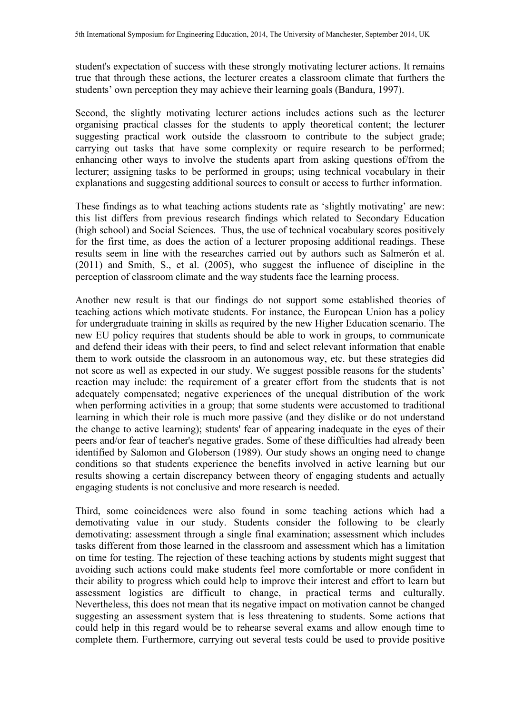student's expectation of success with these strongly motivating lecturer actions. It remains true that through these actions, the lecturer creates a classroom climate that furthers the students' own perception they may achieve their learning goals (Bandura, 1997).

Second, the slightly motivating lecturer actions includes actions such as the lecturer organising practical classes for the students to apply theoretical content; the lecturer suggesting practical work outside the classroom to contribute to the subject grade; carrying out tasks that have some complexity or require research to be performed; enhancing other ways to involve the students apart from asking questions of/from the lecturer; assigning tasks to be performed in groups; using technical vocabulary in their explanations and suggesting additional sources to consult or access to further information.

These findings as to what teaching actions students rate as 'slightly motivating' are new: this list differs from previous research findings which related to Secondary Education (high school) and Social Sciences. Thus, the use of technical vocabulary scores positively for the first time, as does the action of a lecturer proposing additional readings. These results seem in line with the researches carried out by authors such as Salmerón et al. (2011) and Smith, S., et al. (2005), who suggest the influence of discipline in the perception of classroom climate and the way students face the learning process.

Another new result is that our findings do not support some established theories of teaching actions which motivate students. For instance, the European Union has a policy for undergraduate training in skills as required by the new Higher Education scenario. The new EU policy requires that students should be able to work in groups, to communicate and defend their ideas with their peers, to find and select relevant information that enable them to work outside the classroom in an autonomous way, etc. but these strategies did not score as well as expected in our study. We suggest possible reasons for the students' reaction may include: the requirement of a greater effort from the students that is not adequately compensated; negative experiences of the unequal distribution of the work when performing activities in a group; that some students were accustomed to traditional learning in which their role is much more passive (and they dislike or do not understand the change to active learning); students' fear of appearing inadequate in the eyes of their peers and/or fear of teacher's negative grades. Some of these difficulties had already been identified by Salomon and Globerson (1989). Our study shows an onging need to change conditions so that students experience the benefits involved in active learning but our results showing a certain discrepancy between theory of engaging students and actually engaging students is not conclusive and more research is needed.

Third, some coincidences were also found in some teaching actions which had a demotivating value in our study. Students consider the following to be clearly demotivating: assessment through a single final examination; assessment which includes tasks different from those learned in the classroom and assessment which has a limitation on time for testing. The rejection of these teaching actions by students might suggest that avoiding such actions could make students feel more comfortable or more confident in their ability to progress which could help to improve their interest and effort to learn but assessment logistics are difficult to change, in practical terms and culturally. Nevertheless, this does not mean that its negative impact on motivation cannot be changed suggesting an assessment system that is less threatening to students. Some actions that could help in this regard would be to rehearse several exams and allow enough time to complete them. Furthermore, carrying out several tests could be used to provide positive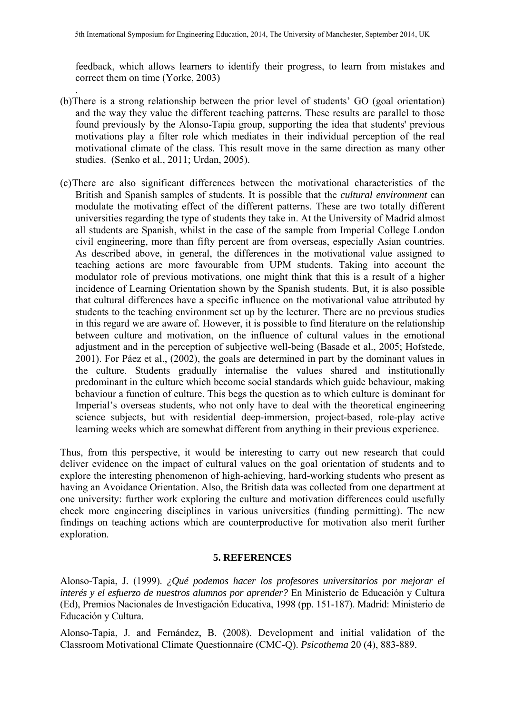feedback, which allows learners to identify their progress, to learn from mistakes and correct them on time (Yorke, 2003)

(b)There is a strong relationship between the prior level of students' GO (goal orientation) and the way they value the different teaching patterns. These results are parallel to those found previously by the Alonso-Tapia group, supporting the idea that students' previous motivations play a filter role which mediates in their individual perception of the real motivational climate of the class. This result move in the same direction as many other studies. (Senko et al., 2011; Urdan, 2005).

.

(c)There are also significant differences between the motivational characteristics of the British and Spanish samples of students. It is possible that the *cultural environment* can modulate the motivating effect of the different patterns. These are two totally different universities regarding the type of students they take in. At the University of Madrid almost all students are Spanish, whilst in the case of the sample from Imperial College London civil engineering, more than fifty percent are from overseas, especially Asian countries. As described above, in general, the differences in the motivational value assigned to teaching actions are more favourable from UPM students. Taking into account the modulator role of previous motivations, one might think that this is a result of a higher incidence of Learning Orientation shown by the Spanish students. But, it is also possible that cultural differences have a specific influence on the motivational value attributed by students to the teaching environment set up by the lecturer. There are no previous studies in this regard we are aware of. However, it is possible to find literature on the relationship between culture and motivation, on the influence of cultural values in the emotional adjustment and in the perception of subjective well-being (Basade et al., 2005; Hofstede, 2001). For Páez et al., (2002), the goals are determined in part by the dominant values in the culture. Students gradually internalise the values shared and institutionally predominant in the culture which become social standards which guide behaviour, making behaviour a function of culture. This begs the question as to which culture is dominant for Imperial's overseas students, who not only have to deal with the theoretical engineering science subjects, but with residential deep-immersion, project-based, role-play active learning weeks which are somewhat different from anything in their previous experience.

Thus, from this perspective, it would be interesting to carry out new research that could deliver evidence on the impact of cultural values on the goal orientation of students and to explore the interesting phenomenon of high-achieving, hard-working students who present as having an Avoidance Orientation. Also, the British data was collected from one department at one university: further work exploring the culture and motivation differences could usefully check more engineering disciplines in various universities (funding permitting). The new findings on teaching actions which are counterproductive for motivation also merit further exploration.

### **5. REFERENCES**

Alonso-Tapia, J. (1999). *¿Qué podemos hacer los profesores universitarios por mejorar el interés y el esfuerzo de nuestros alumnos por aprender?* En Ministerio de Educación y Cultura (Ed), Premios Nacionales de Investigación Educativa, 1998 (pp. 151-187). Madrid: Ministerio de Educación y Cultura.

Alonso-Tapia, J. and Fernández, B. (2008). Development and initial validation of the Classroom Motivational Climate Questionnaire (CMC-Q). *Psicothema* 20 (4), 883-889.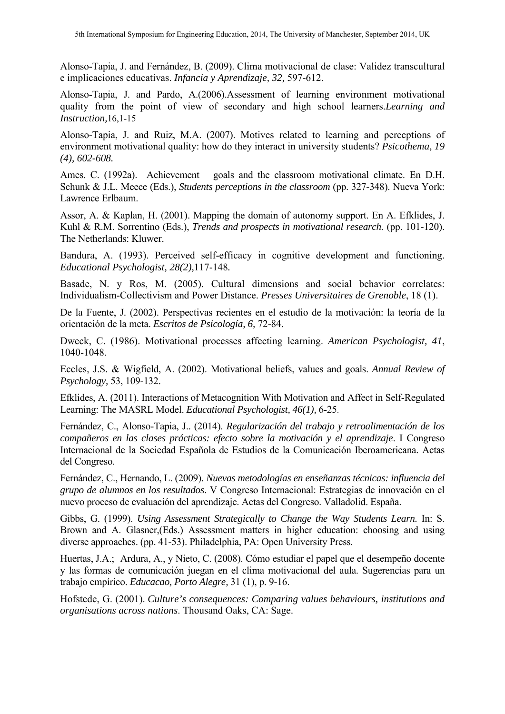Alonso-Tapia, J. and Fernández, B. (2009). Clima motivacional de clase: Validez transcultural e implicaciones educativas. *Infancia y Aprendizaje, 32,* 597-612.

Alonso-Tapia, J. and Pardo, A.(2006).Assessment of learning environment motivational quality from the point of view of secondary and high school learners.*Learning and Instruction,*16,1-15

Alonso-Tapia, J. and Ruiz, M.A. (2007). Motives related to learning and perceptions of environment motivational quality: how do they interact in university students? *Psicothema, 19 (4), 602-608.* 

Ames. C. (1992a). Achievement goals and the classroom motivational climate. En D.H. Schunk & J.L. Meece (Eds.), *Students perceptions in the classroom* (pp. 327-348). Nueva York: Lawrence Erlbaum.

Assor, A. & Kaplan, H. (2001). Mapping the domain of autonomy support. En A. Efklides, J. Kuhl & R.M. Sorrentino (Eds.), *Trends and prospects in motivational research.* (pp. 101-120). The Netherlands: Kluwer.

Bandura, A. (1993). Perceived self-efficacy in cognitive development and functioning. *Educational Psychologist, 28(2),*117-148*.* 

Basade, N. y Ros, M. (2005). Cultural dimensions and social behavior correlates: Individualism-Collectivism and Power Distance. *Presses Universitaires de Grenoble*, 18 (1).

De la Fuente, J. (2002). Perspectivas recientes en el estudio de la motivación: la teoría de la orientación de la meta. *Escritos de Psicología, 6,* 72-84.

Dweck, C. (1986). Motivational processes affecting learning. *American Psychologist, 41*, 1040-1048.

Eccles, J.S. & Wigfield, A. (2002). Motivational beliefs, values and goals. *Annual Review of Psychology,* 53, 109-132.

Efklides, A. (2011). Interactions of Metacognition With Motivation and Affect in Self-Regulated Learning: The MASRL Model. *Educational Psychologist, 46(1),* 6-25.

Fernández, C., Alonso-Tapia, J.. (2014). *Regularización del trabajo y retroalimentación de los compañeros en las clases prácticas: efecto sobre la motivación y el aprendizaje*. I Congreso Internacional de la Sociedad Española de Estudios de la Comunicación Iberoamericana. Actas del Congreso.

Fernández, C., Hernando, L. (2009). *Nuevas metodologías en enseñanzas técnicas: influencia del grupo de alumnos en los resultados*. V Congreso Internacional: Estrategias de innovación en el nuevo proceso de evaluación del aprendizaje. Actas del Congreso. Valladolid. España.

Gibbs, G. (1999). *Using Assessment Strategically to Change the Way Students Learn.* In: S. Brown and A. Glasner,(Eds.) Assessment matters in higher education: choosing and using diverse approaches. (pp. 41-53). Philadelphia, PA: Open University Press.

Huertas, J.A.; Ardura, A., y Nieto, C. (2008). Cómo estudiar el papel que el desempeño docente y las formas de comunicación juegan en el clima motivacional del aula. Sugerencias para un trabajo empírico. *Educacao, Porto Alegre,* 31 (1), p. 9-16.

Hofstede, G. (2001). *Culture's consequences: Comparing values behaviours, institutions and organisations across nations*. Thousand Oaks, CA: Sage.